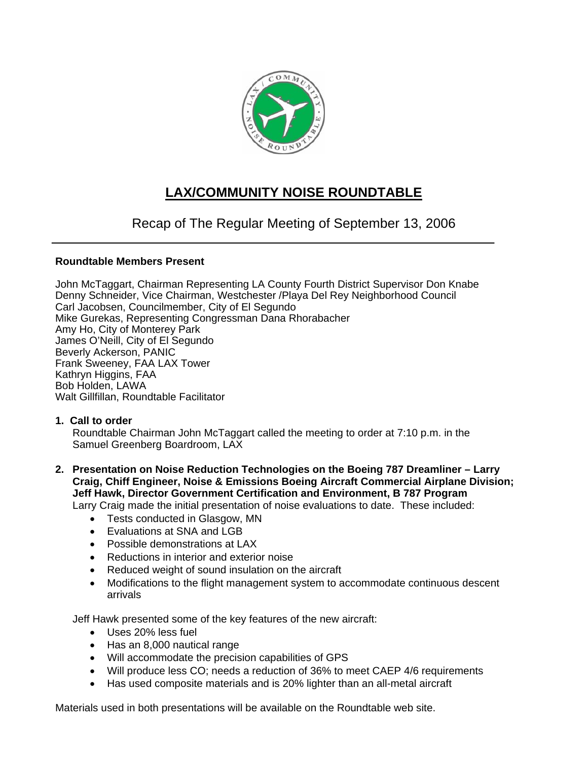

# **LAX/COMMUNITY NOISE ROUNDTABLE**

# Recap of The Regular Meeting of September 13, 2006

# **Roundtable Members Present**

John McTaggart, Chairman Representing LA County Fourth District Supervisor Don Knabe Denny Schneider, Vice Chairman, Westchester /Playa Del Rey Neighborhood Council Carl Jacobsen, Councilmember, City of El Segundo Mike Gurekas, Representing Congressman Dana Rhorabacher Amy Ho, City of Monterey Park James O'Neill, City of El Segundo Beverly Ackerson, PANIC Frank Sweeney, FAA LAX Tower Kathryn Higgins, FAA Bob Holden, LAWA Walt Gillfillan, Roundtable Facilitator

## **1. Call to order**

Roundtable Chairman John McTaggart called the meeting to order at 7:10 p.m. in the Samuel Greenberg Boardroom, LAX

- **2. Presentation on Noise Reduction Technologies on the Boeing 787 Dreamliner Larry Craig, Chiff Engineer, Noise & Emissions Boeing Aircraft Commercial Airplane Division; Jeff Hawk, Director Government Certification and Environment, B 787 Program**  Larry Craig made the initial presentation of noise evaluations to date. These included:
	- Tests conducted in Glasgow, MN
	- Fyaluations at SNA and LGB
	- Possible demonstrations at LAX
	- Reductions in interior and exterior noise
	- Reduced weight of sound insulation on the aircraft
	- Modifications to the flight management system to accommodate continuous descent arrivals

Jeff Hawk presented some of the key features of the new aircraft:

- Uses 20% less fuel
- Has an 8,000 nautical range
- Will accommodate the precision capabilities of GPS
- Will produce less CO; needs a reduction of 36% to meet CAEP 4/6 requirements
- Has used composite materials and is 20% lighter than an all-metal aircraft

Materials used in both presentations will be available on the Roundtable web site.